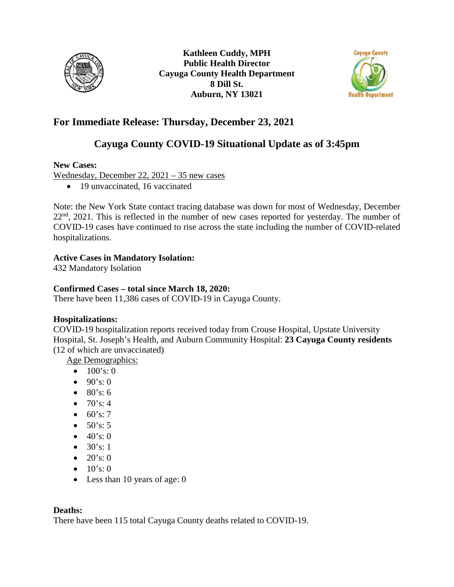

**Kathleen Cuddy, MPH Public Health Director Cayuga County Health Department 8 Dill St. Auburn, NY 13021**



# **For Immediate Release: Thursday, December 23, 2021**

# **Cayuga County COVID-19 Situational Update as of 3:45pm**

#### **New Cases:**

Wednesday, December 22, 2021 – 35 new cases

• 19 unvaccinated, 16 vaccinated

Note: the New York State contact tracing database was down for most of Wednesday, December 22<sup>nd</sup>, 2021. This is reflected in the number of new cases reported for yesterday. The number of COVID-19 cases have continued to rise across the state including the number of COVID-related hospitalizations.

#### **Active Cases in Mandatory Isolation:**

432 Mandatory Isolation

### **Confirmed Cases – total since March 18, 2020:**

There have been 11,386 cases of COVID-19 in Cayuga County.

### **Hospitalizations:**

COVID-19 hospitalization reports received today from Crouse Hospital, Upstate University Hospital, St. Joseph's Health, and Auburn Community Hospital: **23 Cayuga County residents**  (12 of which are unvaccinated)

Age Demographics:

- $100's:0$
- $90's: 0$
- $80's: 6$
- $70's: 4$
- $60's: 7$
- $50's: 5$
- $40's:0$
- $30's: 1$
- $20's: 0$
- $10's: 0$
- Less than 10 years of age: 0

#### **Deaths:**

There have been 115 total Cayuga County deaths related to COVID-19.